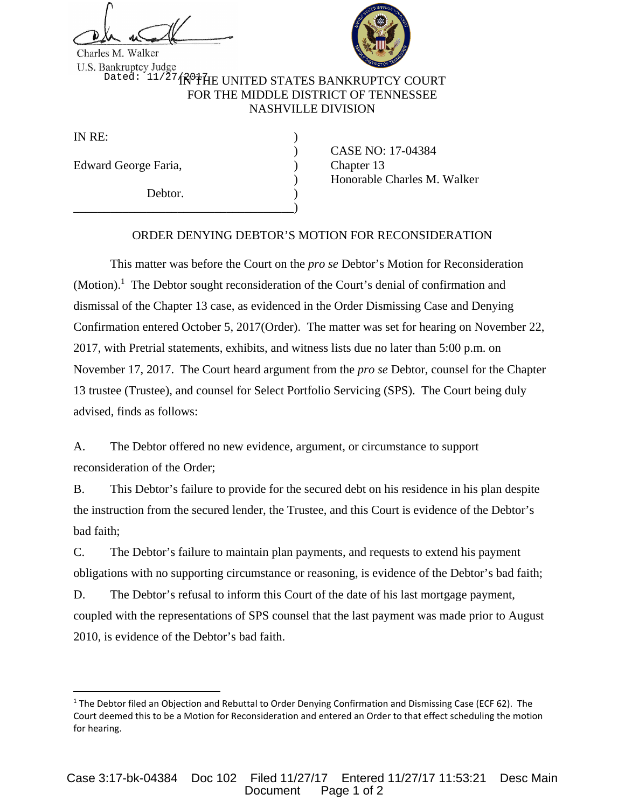

Charles M. Walker

<sup>Dated: 11/27</sup>1 N<sup>o</sup>the UNITED STATES BANKRUPTCY COURT FOR THE MIDDLE DISTRICT OF TENNESSEE NASHVILLE DIVISION

IN  $RE:$ 

Edward George Faria, (a) Chapter 13

Debtor.

\_\_\_\_\_\_\_\_\_\_\_\_\_\_\_\_\_\_\_\_\_\_\_\_\_\_\_\_\_\_\_\_\_\_\_\_)

 ) CASE NO: 17-04384 ) Honorable Charles M. Walker

## ORDER DENYING DEBTOR'S MOTION FOR RECONSIDERATION

 This matter was before the Court on the *pro se* Debtor's Motion for Reconsideration (Motion).<sup>1</sup> The Debtor sought reconsideration of the Court's denial of confirmation and dismissal of the Chapter 13 case, as evidenced in the Order Dismissing Case and Denying Confirmation entered October 5, 2017(Order). The matter was set for hearing on November 22, 2017, with Pretrial statements, exhibits, and witness lists due no later than 5:00 p.m. on November 17, 2017. The Court heard argument from the *pro se* Debtor, counsel for the Chapter 13 trustee (Trustee), and counsel for Select Portfolio Servicing (SPS). The Court being duly advised, finds as follows:

A. The Debtor offered no new evidence, argument, or circumstance to support reconsideration of the Order;

B. This Debtor's failure to provide for the secured debt on his residence in his plan despite the instruction from the secured lender, the Trustee, and this Court is evidence of the Debtor's bad faith;

C. The Debtor's failure to maintain plan payments, and requests to extend his payment obligations with no supporting circumstance or reasoning, is evidence of the Debtor's bad faith;

D. The Debtor's refusal to inform this Court of the date of his last mortgage payment, coupled with the representations of SPS counsel that the last payment was made prior to August 2010, is evidence of the Debtor's bad faith.

<sup>&</sup>lt;sup>1</sup> The Debtor filed an Objection and Rebuttal to Order Denying Confirmation and Dismissing Case (ECF 62). The Court deemed this to be a Motion for Reconsideration and entered an Order to that effect scheduling the motion for hearing.